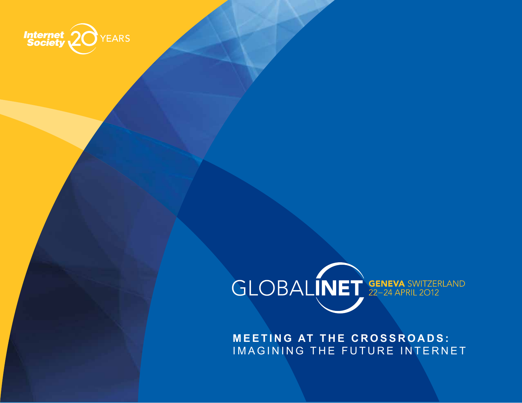

# GLOBALINET GENEVA SWITZERLAND

**MEETING AT THE CROSSROADS:** IMAGINING THE FUTURE INTERNET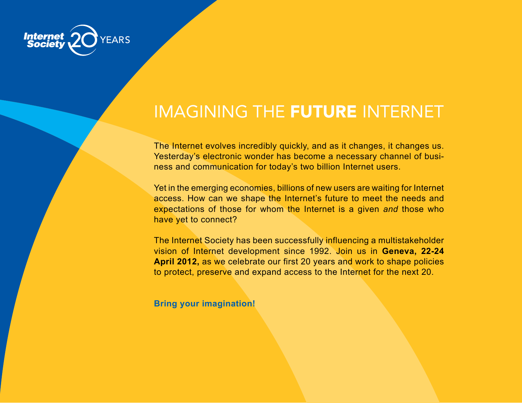

### IMAGINING THE FUTURE INTERNET

The Internet evolves incredibly quickly, and as it changes, it changes us. Yesterday's electronic wonder has become a necessary channel of business and communication for today's two billion Internet users.

Yet in the emerging economies, billions of new users are waiting for Internet access. How can we shape the Internet's future to meet the needs and expectations of those for whom the Internet is a given *and* those who have yet to connect?

The Internet Society has been successfully influencing a multistakeholder vision of Internet development since 1992. Join us in **Geneva, 22-24 April 2012,** as we celebrate our first 20 years and work to shape policies to protect, preserve and expand access to the Internet for the next 20.

**Bring your imagination!**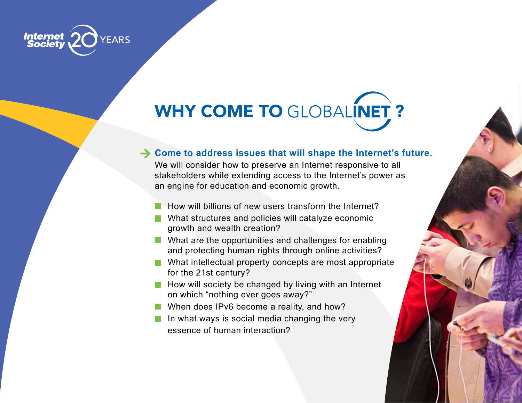

# WHY COME TO GLOBALINET?

#### **Come to address issues that will shape the Internet's future.**

We will consider how to preserve an Internet responsive to all stakeholders while extending access to the Internet's power as an engine for education and economic growth.

- How will billions of new users transform the Internet?
- What structures and policies will catalyze economic growth and wealth creation?
- **Notable 10 What are the opportunities and challenges for enabling** and protecting human rights through online activities?
- **Notal intellectual property concepts are most appropriate** for the 21st century?
- $\blacksquare$  How will society be changed by living with an Internet on which "nothing ever goes away?"
- When does IPv6 become a reality, and how?
- In what ways is social media changing the very essence of human interaction?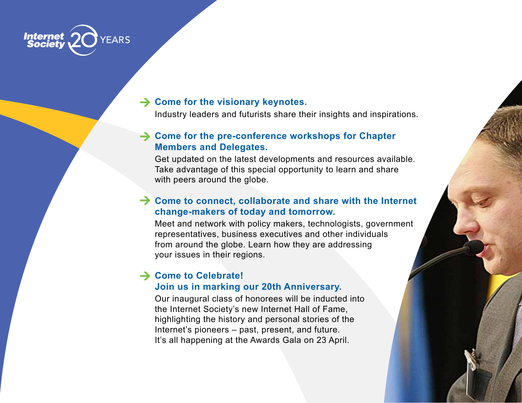

#### **→ Come for the visionary keynotes.**

Industry leaders and futurists share their insights and inspirations.

#### **→ Come for the pre-conference workshops for Chapter Members and Delegates.**

Get updated on the latest developments and resources available. Take advantage of this special opportunity to learn and share with peers around the globe.

#### **→ Come to connect, collaborate and share with the Internet change-makers of today and tomorrow.**

Meet and network with policy makers, technologists, government representatives, business executives and other individuals from around the globe. Learn how they are addressing your issues in their regions.

#### **→ Come to Celebrate!**

#### **Join us in marking our 20th Anniversary.**

Our inaugural class of honorees will be inducted into the Internet Society's new Internet Hall of Fame, highlighting the history and personal stories of the Internet's pioneers – past, present, and future. It's all happening at the Awards Gala on 23 April.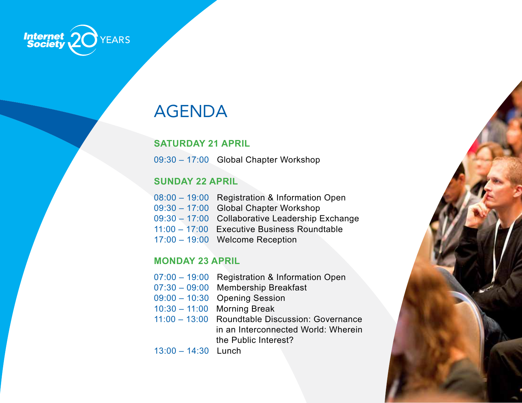

## AGENDA

#### **SATURDAY 21 APRIL**

09:30 – 17:00 Global Chapter Workshop

#### **Sunday 22 APRIL**

- 08:00 19:00 Registration & Information Open
- 09:30 17:00 Global Chapter Workshop
- 09:30 17:00 Collaborative Leadership Exchange
- 11:00 17:00 Executive Business Roundtable
- 17:00 19:00 Welcome Reception

#### **Monday 23 April**

- 07:00 19:00 Registration & Information Open
- 07:30 09:00 Membership Breakfast
- 09:00 10:30 Opening Session
- 10:30 11:00 Morning Break
- 11:00 13:00 Roundtable Discussion: Governance in an Interconnected World: Wherein the Public Interest?
- 13:00 14:30 Lunch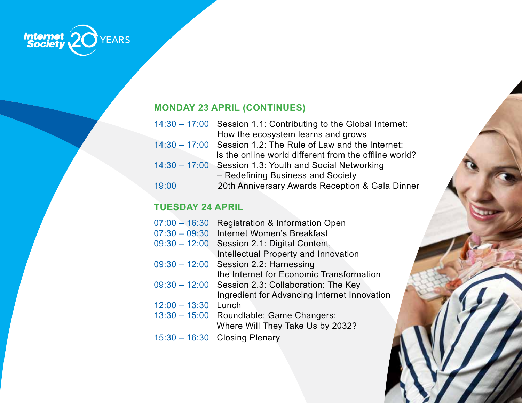# **Internet 20** YEARS

#### **Monday 23 April (CONTINUES)**

|       | 14:30 - 17:00 Session 1.1: Contributing to the Global Internet: |
|-------|-----------------------------------------------------------------|
|       | How the ecosystem learns and grows                              |
|       | $14:30 - 17:00$ Session 1.2: The Rule of Law and the Internet:  |
|       | Is the online world different from the offline world?           |
|       | 14:30 - 17:00 Session 1.3: Youth and Social Networking          |
|       | - Redefining Business and Society                               |
| 19:00 | 20th Anniversary Awards Reception & Gala Dinner                 |
|       |                                                                 |

#### **TUESDAY 24 April**

| $07:00 - 16:30$ | <b>Registration &amp; Information Open</b>        |
|-----------------|---------------------------------------------------|
| $07:30 - 09:30$ | Internet Women's Breakfast                        |
| $09:30 - 12:00$ | Session 2.1: Digital Content,                     |
|                 | Intellectual Property and Innovation              |
| $09:30 - 12:00$ | Session 2.2: Harnessing                           |
|                 | the Internet for Economic Transformation          |
|                 | 09:30 - 12:00 Session 2.3: Collaboration: The Key |
|                 | Ingredient for Advancing Internet Innovation      |
| $12:00 - 13:30$ | Lunch                                             |
| $13:30 - 15:00$ | Roundtable: Game Changers:                        |
|                 | Where Will They Take Us by 2032?                  |
|                 | $15:30 - 16:30$ Closing Plenary                   |
|                 |                                                   |
|                 |                                                   |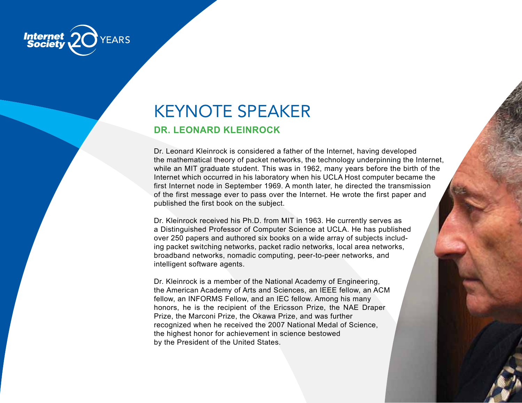

### KEYNOTE SPEAKER **DR. Leonard kleinrock**

Dr. Leonard Kleinrock is considered a father of the Internet, having developed the mathematical theory of packet networks, the technology underpinning the Internet, while an MIT graduate student. This was in 1962, many years before the birth of the Internet which occurred in his laboratory when his UCLA Host computer became the first Internet node in September 1969. A month later, he directed the transmission of the first message ever to pass over the Internet. He wrote the first paper and published the first book on the subject.

Dr. Kleinrock received his Ph.D. from MIT in 1963. He currently serves as a Distinguished Professor of Computer Science at UCLA. He has published over 250 papers and authored six books on a wide array of subjects including packet switching networks, packet radio networks, local area networks, broadband networks, nomadic computing, peer-to-peer networks, and intelligent software agents.

Dr. Kleinrock is a member of the National Academy of Engineering, the American Academy of Arts and Sciences, an IEEE fellow, an ACM fellow, an INFORMS Fellow, and an IEC fellow. Among his many honors, he is the recipient of the Ericsson Prize, the NAE Draper Prize, the Marconi Prize, the Okawa Prize, and was further recognized when he received the 2007 National Medal of Science, the highest honor for achievement in science bestowed by the President of the United States.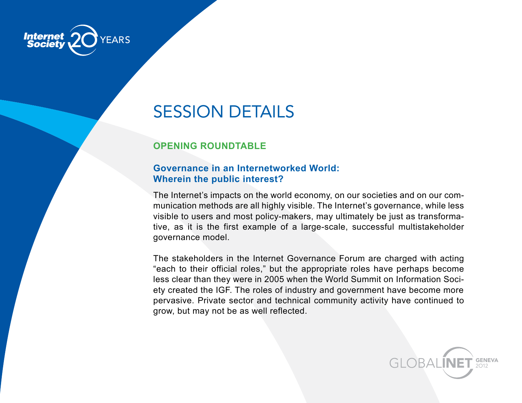

# SESSION DETAILS

#### **OPENING ROUNDTABLE**

#### **Governance in an Internetworked World: Wherein the public interest?**

The Internet's impacts on the world economy, on our societies and on our communication methods are all highly visible. The Internet's governance, while less visible to users and most policy-makers, may ultimately be just as transformative, as it is the first example of a large-scale, successful multistakeholder governance model.

The stakeholders in the Internet Governance Forum are charged with acting "each to their official roles," but the appropriate roles have perhaps become less clear than they were in 2005 when the World Summit on Information Society created the IGF. The roles of industry and government have become more pervasive. Private sector and technical community activity have continued to grow, but may not be as well reflected.

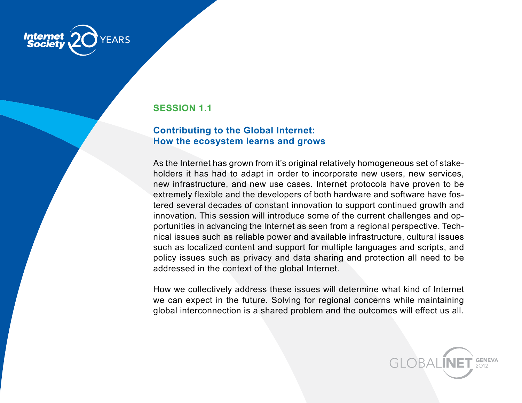

#### **Session 1.1**

#### **Contributing to the Global Internet: How the ecosystem learns and grows**

As the Internet has grown from it's original relatively homogeneous set of stakeholders it has had to adapt in order to incorporate new users, new services, new infrastructure, and new use cases. Internet protocols have proven to be extremely flexible and the developers of both hardware and software have fostered several decades of constant innovation to support continued growth and innovation. This session will introduce some of the current challenges and opportunities in advancing the Internet as seen from a regional perspective. Technical issues such as reliable power and available infrastructure, cultural issues such as localized content and support for multiple languages and scripts, and policy issues such as privacy and data sharing and protection all need to be addressed in the context of the global Internet.

How we collectively address these issues will determine what kind of Internet we can expect in the future. Solving for regional concerns while maintaining global interconnection is a shared problem and the outcomes will effect us all.

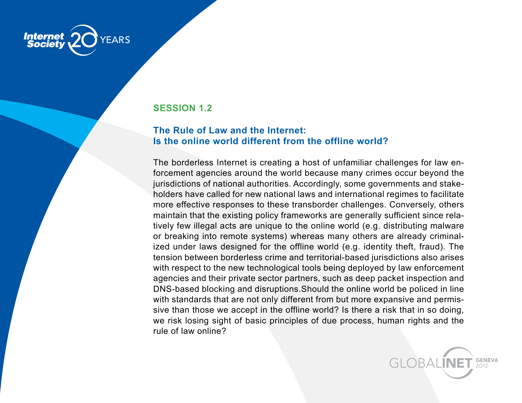

#### **Session 1.2**

#### **The Rule of Law and the Internet: Is the online world different from the offline world?**

The borderless Internet is creating a host of unfamiliar challenges for law enforcement agencies around the world because many crimes occur beyond the jurisdictions of national authorities. Accordingly, some governments and stakeholders have called for new national laws and international regimes to facilitate more effective responses to these transborder challenges. Conversely, others maintain that the existing policy frameworks are generally sufficient since relatively few illegal acts are unique to the online world (e.g. distributing malware or breaking into remote systems) whereas many others are already criminalized under laws designed for the offline world (e.g. identity theft, fraud). The tension between borderless crime and territorial-based jurisdictions also arises with respect to the new technological tools being deployed by law enforcement agencies and their private sector partners, such as deep packet inspection and DNS-based blocking and disruptions.Should the online world be policed in line with standards that are not only different from but more expansive and permissive than those we accept in the offline world? Is there a risk that in so doing, we risk losing sight of basic principles of due process, human rights and the rule of law online?

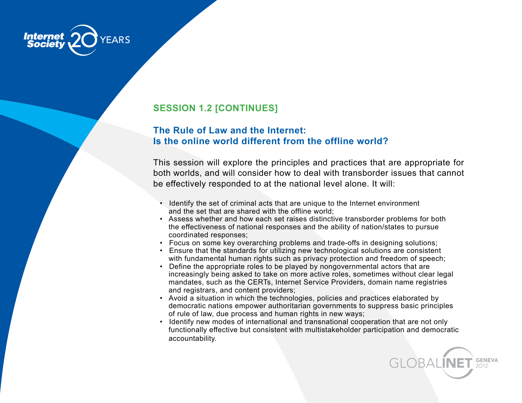

#### **Session 1.2 [CONTINUES]**

#### **The Rule of Law and the Internet: Is the online world different from the offline world?**

This session will explore the principles and practices that are appropriate for both worlds, and will consider how to deal with transborder issues that cannot be effectively responded to at the national level alone. It will:

- Identify the set of criminal acts that are unique to the Internet environment and the set that are shared with the offline world;
- Assess whether and how each set raises distinctive transborder problems for both the effectiveness of national responses and the ability of nation/states to pursue coordinated responses;
- Focus on some key overarching problems and trade-offs in designing solutions;
- Ensure that the standards for utilizing new technological solutions are consistent with fundamental human rights such as privacy protection and freedom of speech;
- Define the appropriate roles to be played by nongovernmental actors that are increasingly being asked to take on more active roles, sometimes without clear legal mandates, such as the CERTs, Internet Service Providers, domain name registries and registrars, and content providers;
- Avoid a situation in which the technologies, policies and practices elaborated by democratic nations empower authoritarian governments to suppress basic principles of rule of law, due process and human rights in new ways;
- Identify new modes of international and transnational cooperation that are not only functionally effective but consistent with multistakeholder participation and democratic accountability.

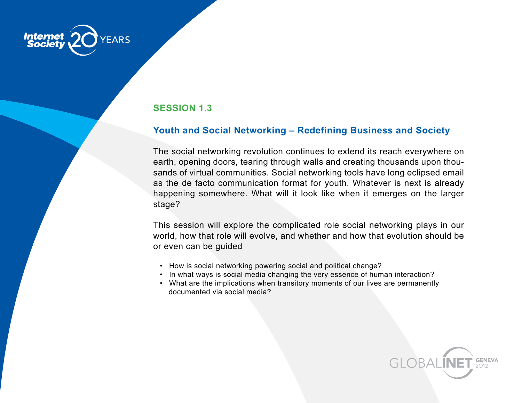

#### **Session 1.3**

#### **Youth and Social Networking – Redefining Business and Society**

The social networking revolution continues to extend its reach everywhere on earth, opening doors, tearing through walls and creating thousands upon thousands of virtual communities. Social networking tools have long eclipsed email as the de facto communication format for youth. Whatever is next is already happening somewhere. What will it look like when it emerges on the larger stage?

This session will explore the complicated role social networking plays in our world, how that role will evolve, and whether and how that evolution should be or even can be guided

- How is social networking powering social and political change?
- In what ways is social media changing the very essence of human interaction?
- What are the implications when transitory moments of our lives are permanently documented via social media?

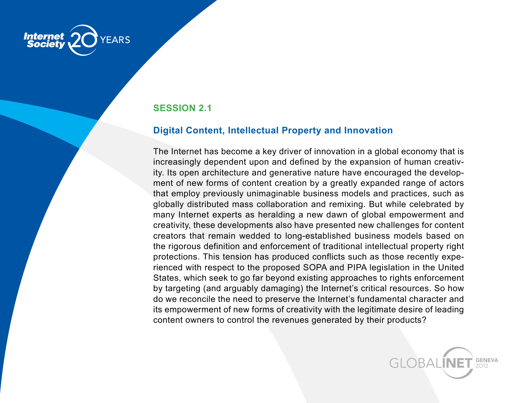

#### **Session 2.1**

#### **Digital Content, Intellectual Property and Innovation**

The Internet has become a key driver of innovation in a global economy that is increasingly dependent upon and defined by the expansion of human creativity. Its open architecture and generative nature have encouraged the development of new forms of content creation by a greatly expanded range of actors that employ previously unimaginable business models and practices, such as globally distributed mass collaboration and remixing. But while celebrated by many Internet experts as heralding a new dawn of global empowerment and creativity, these developments also have presented new challenges for content creators that remain wedded to long-established business models based on the rigorous definition and enforcement of traditional intellectual property right protections. This tension has produced conflicts such as those recently experienced with respect to the proposed SOPA and PIPA legislation in the United States, which seek to go far beyond existing approaches to rights enforcement by targeting (and arguably damaging) the Internet's critical resources. So how do we reconcile the need to preserve the Internet's fundamental character and its empowerment of new forms of creativity with the legitimate desire of leading content owners to control the revenues generated by their products?

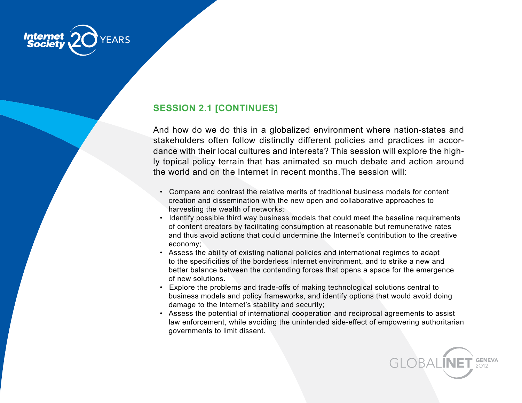

#### **Session 2.1 [CONTINUES]**

And how do we do this in a globalized environment where nation-states and stakeholders often follow distinctly different policies and practices in accordance with their local cultures and interests? This session will explore the highly topical policy terrain that has animated so much debate and action around the world and on the Internet in recent months.The session will:

- Compare and contrast the relative merits of traditional business models for content creation and dissemination with the new open and collaborative approaches to harvesting the wealth of networks;
- Identify possible third way business models that could meet the baseline requirements of content creators by facilitating consumption at reasonable but remunerative rates and thus avoid actions that could undermine the Internet's contribution to the creative economy;
- Assess the ability of existing national policies and international regimes to adapt to the specificities of the borderless Internet environment, and to strike a new and better balance between the contending forces that opens a space for the emergence of new solutions.
- Explore the problems and trade-offs of making technological solutions central to business models and policy frameworks, and identify options that would avoid doing damage to the Internet's stability and security;
- Assess the potential of international cooperation and reciprocal agreements to assist law enforcement, while avoiding the unintended side-effect of empowering authoritarian governments to limit dissent.

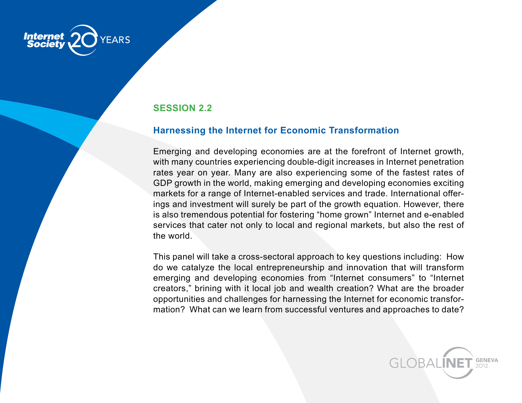

#### **Session 2.2**

#### **Harnessing the Internet for Economic Transformation**

Emerging and developing economies are at the forefront of Internet growth, with many countries experiencing double-digit increases in Internet penetration rates year on year. Many are also experiencing some of the fastest rates of GDP growth in the world, making emerging and developing economies exciting markets for a range of Internet-enabled services and trade. International offerings and investment will surely be part of the growth equation. However, there is also tremendous potential for fostering "home grown" Internet and e-enabled services that cater not only to local and regional markets, but also the rest of the world.

This panel will take a cross-sectoral approach to key questions including: How do we catalyze the local entrepreneurship and innovation that will transform emerging and developing economies from "Internet consumers" to "Internet creators," brining with it local job and wealth creation? What are the broader opportunities and challenges for harnessing the Internet for economic transformation? What can we learn from successful ventures and approaches to date?

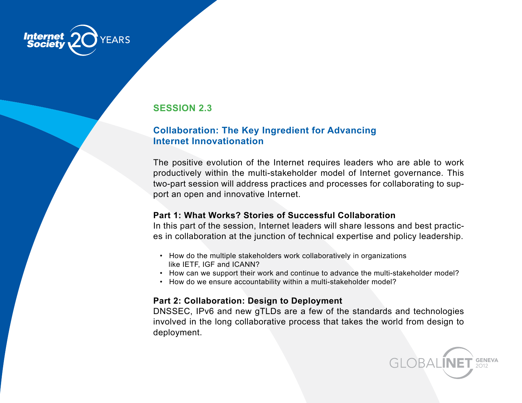

#### **Session 2.3**

#### **Collaboration: The Key Ingredient for Advancing Internet Innovationation**

The positive evolution of the Internet requires leaders who are able to work productively within the multi-stakeholder model of Internet governance. This two-part session will address practices and processes for collaborating to support an open and innovative Internet.

#### **Part 1: What Works? Stories of Successful Collaboration**

In this part of the session, Internet leaders will share lessons and best practices in collaboration at the junction of technical expertise and policy leadership.

- How do the multiple stakeholders work collaboratively in organizations like IETF, IGF and ICANN?
- How can we support their work and continue to advance the multi-stakeholder model?
- How do we ensure accountability within a multi-stakeholder model?

#### **Part 2: Collaboration: Design to Deployment**

DNSSEC, IPv6 and new gTLDs are a few of the standards and technologies involved in the long collaborative process that takes the world from design to deployment.

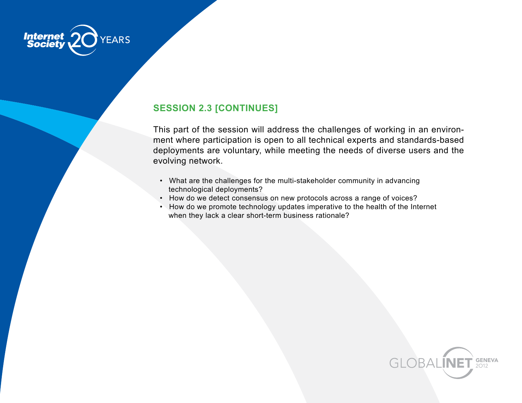

#### **Session 2.3 [continues]**

This part of the session will address the challenges of working in an environment where participation is open to all technical experts and standards-based deployments are voluntary, while meeting the needs of diverse users and the evolving network.

- What are the challenges for the multi-stakeholder community in advancing technological deployments?
- How do we detect consensus on new protocols across a range of voices?
- How do we promote technology updates imperative to the health of the Internet when they lack a clear short-term business rationale?

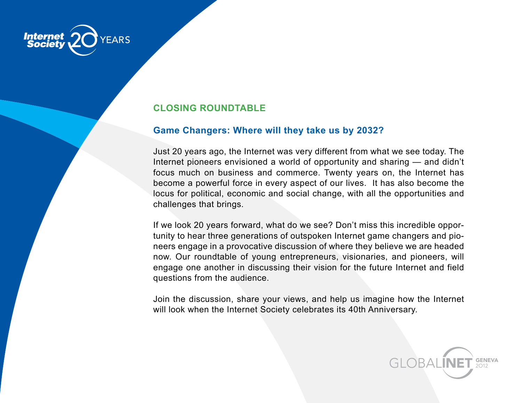

#### **CLOSING ROUNDTABLE**

#### **Game Changers: Where will they take us by 2032?**

Just 20 years ago, the Internet was very different from what we see today. The Internet pioneers envisioned a world of opportunity and sharing — and didn't focus much on business and commerce. Twenty years on, the Internet has become a powerful force in every aspect of our lives. It has also become the locus for political, economic and social change, with all the opportunities and challenges that brings.

If we look 20 years forward, what do we see? Don't miss this incredible opportunity to hear three generations of outspoken Internet game changers and pioneers engage in a provocative discussion of where they believe we are headed now. Our roundtable of young entrepreneurs, visionaries, and pioneers, will engage one another in discussing their vision for the future Internet and field questions from the audience.

Join the discussion, share your views, and help us imagine how the Internet will look when the Internet Society celebrates its 40th Anniversary.

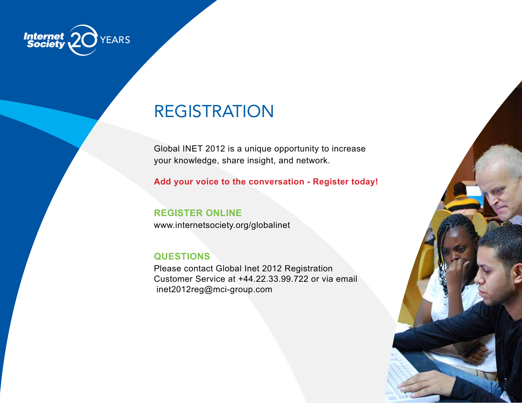

# **REGISTRATION**

Global INET 2012 is a unique opportunity to increase your knowledge, share insight, and network.

**Add your voice to the conversation - Register today!**

**Register Online** www.internetsociety.org/globalinet

#### **Questions**

Please contact Global Inet 2012 Registration Customer Service at +44.22.33.99.722 or via email inet2012reg@mci-group.com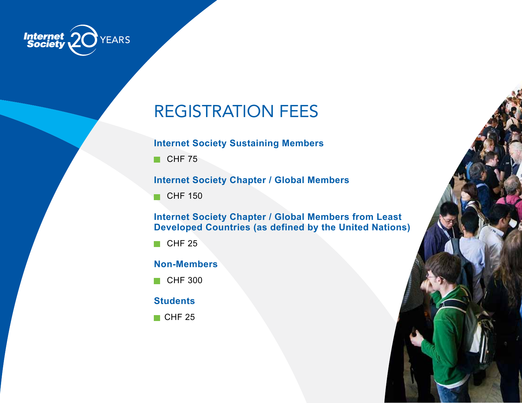

# REGISTRATION FEES

#### **Internet Society Sustaining Members**

 $\Box$  CHF 75

#### **Internet Society Chapter / Global Members**

CHF 150

#### **Internet Society Chapter / Global Members from Least Developed Countries (as defined by the United Nations)**

 $\Box$  CHF 25

#### **Non-Members**

**CHF 300** 

#### **Students**

 $\Box$  CHF 25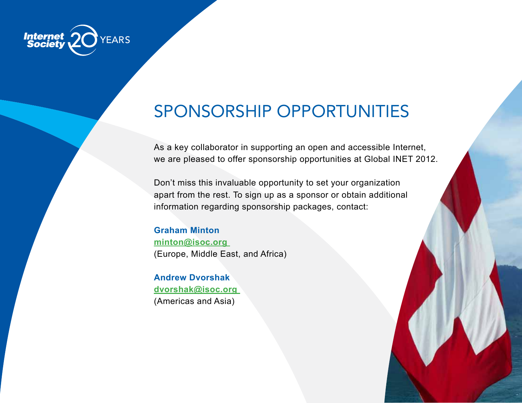

## SPONSORSHIP OPPORTUNITIES

As a key collaborator in supporting an open and accessible Internet, we are pleased to offer sponsorship opportunities at Global INET 2012.

Don't miss this invaluable opportunity to set your organization apart from the rest. To sign up as a sponsor or obtain additional information regarding sponsorship packages, contact:

**Graham Minton minton@isoc.org**  (Europe, Middle East, and Africa)

**Andrew Dvorshak dvorshak@isoc.org**  (Americas and Asia)